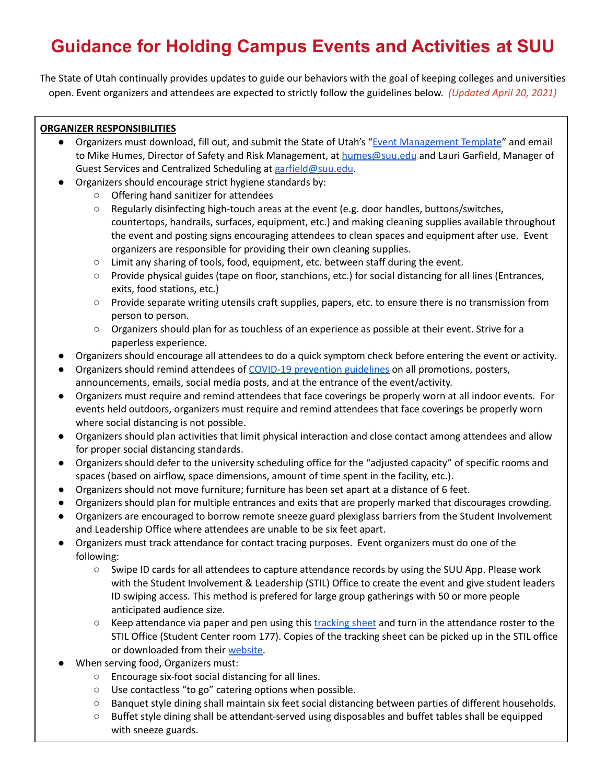## **Guidance for Holding Campus Events and Activities at SUU**

The State of Utah continually provides updates to guide our behaviors with the goal of keeping colleges and universities open. Event organizers and attendees are expected to strictly follow the guidelines below. *(Updated April 20, 2021)*

## **ORGANIZER RESPONSIBILITIES**

- Organizers must download, fill out, and submit the State of Utah's "Event [Management](https://www.suu.edu/coronavirus/pdf/covid-event-planning-template.pdf) Template" and email to Mike Humes, Director of Safety and Risk Management, at [humes@suu.edu](mailto:humes@suu.edu) and Lauri Garfield, Manager of Guest Services and Centralized Scheduling at [garfield@suu.edu](mailto:garfield@suu.edu).
- Organizers should encourage strict hygiene standards by:
	- Offering hand sanitizer for attendees
	- Regularly disinfecting high-touch areas at the event (e.g. door handles, buttons/switches, countertops, handrails, surfaces, equipment, etc.) and making cleaning supplies available throughout the event and posting signs encouraging attendees to clean spaces and equipment after use. Event organizers are responsible for providing their own cleaning supplies.
	- Limit any sharing of tools, food, equipment, etc. between staff during the event.
	- Provide physical guides (tape on floor, stanchions, etc.) for social distancing for all lines (Entrances, exits, food stations, etc.)
	- Provide separate writing utensils craft supplies, papers, etc. to ensure there is no transmission from person to person.
	- Organizers should plan for as touchless of an experience as possible at their event. Strive for a paperless experience.
- Organizers should encourage all attendees to do a quick symptom check before entering the event or activity.
- Organizers should remind attendees of COVID-19 [prevention](https://www.suu.edu/coronavirus/downloads.html) guidelines on all promotions, posters, announcements, emails, social media posts, and at the entrance of the event/activity.
- Organizers must require and remind attendees that face coverings be properly worn at all indoor events. For events held outdoors, organizers must require and remind attendees that face coverings be properly worn where social distancing is not possible.
- Organizers should plan activities that limit physical interaction and close contact among attendees and allow for proper social distancing standards.
- Organizers should defer to the university scheduling office for the "adjusted capacity" of specific rooms and spaces (based on airflow, space dimensions, amount of time spent in the facility, etc.).
- Organizers should not move furniture; furniture has been set apart at a distance of 6 feet.
- Organizers should plan for multiple entrances and exits that are properly marked that discourages crowding.
- Organizers are encouraged to borrow remote sneeze guard plexiglass barriers from the Student Involvement and Leadership Office where attendees are unable to be six feet apart.
- Organizers must track attendance for contact tracing purposes. Event organizers must do one of the following:
	- Swipe ID cards for all attendees to capture attendance records by using the SUU App. Please work with the Student Involvement & Leadership (STIL) Office to create the event and give student leaders ID swiping access. This method is prefered for large group gatherings with 50 or more people anticipated audience size.
	- Keep attendance via paper and pen using this [tracking](https://www.suu.edu/coronavirus/pdf/covid-19-contact-tracing-record.pdf) sheet and turn in the attendance roster to the STIL Office (Student Center room 177). Copies of the tracking sheet can be picked up in the STIL office or downloaded from their [website.](https://www.suu.edu/coronavirus/pdf/covid-19-contact-tracing-record.pdf)
- When serving food, Organizers must:
	- Encourage six-foot social distancing for all lines.
	- Use contactless "to go" catering options when possible.
	- Banquet style dining shall maintain six feet social distancing between parties of different households.
	- Buffet style dining shall be attendant-served using disposables and buffet tables shall be equipped with sneeze guards.